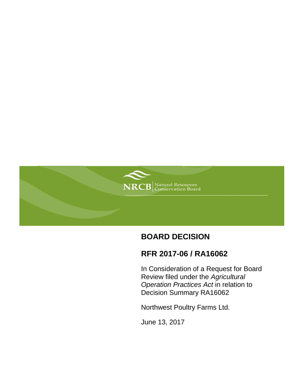

# **BOARD DECISION**

## **RFR 2017-06 / RA16062**

In Consideration of a Request for Board Review filed under the *Agricultural Operation Practices Act* in relation to Decision Summary RA16062

Northwest Poultry Farms Ltd.

June 13, 2017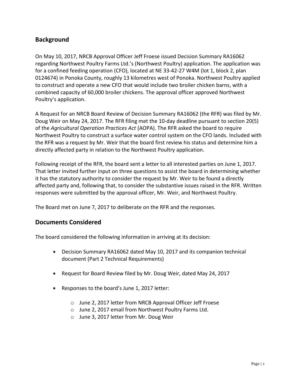## **Background**

On May 10, 2017, NRCB Approval Officer Jeff Froese issued Decision Summary RA16062 regarding Northwest Poultry Farms Ltd.'s (Northwest Poultry) application. The application was for a confined feeding operation (CFO), located at NE 33-42-27 W4M (lot 1, block 2, plan 0124674) in Ponoka County, roughly 13 kilometres west of Ponoka. Northwest Poultry applied to construct and operate a new CFO that would include two broiler chicken barns, with a combined capacity of 60,000 broiler chickens. The approval officer approved Northwest Poultry's application.

A Request for an NRCB Board Review of Decision Summary RA16062 (the RFR) was filed by Mr. Doug Weir on May 24, 2017. The RFR filing met the 10-day deadline pursuant to section 20(5) of the *Agricultural Operation Practices Act* (AOPA). The RFR asked the board to require Northwest Poultry to construct a surface water control system on the CFO lands. Included with the RFR was a request by Mr. Weir that the board first review his status and determine him a directly affected party in relation to the Northwest Poultry application.

Following receipt of the RFR, the board sent a letter to all interested parties on June 1, 2017. That letter invited further input on three questions to assist the board in determining whether it has the statutory authority to consider the request by Mr. Weir to be found a directly affected party and, following that, to consider the substantive issues raised in the RFR. Written responses were submitted by the approval officer, Mr. Weir, and Northwest Poultry.

The Board met on June 7, 2017 to deliberate on the RFR and the responses.

#### **Documents Considered**

The board considered the following information in arriving at its decision:

- Decision Summary RA16062 dated May 10, 2017 and its companion technical document (Part 2 Technical Requirements)
- Request for Board Review filed by Mr. Doug Weir, dated May 24, 2017
- Responses to the board's June 1, 2017 letter:
	- o June 2, 2017 letter from NRCB Approval Officer Jeff Froese
	- o June 2, 2017 email from Northwest Poultry Farms Ltd.
	- o June 3, 2017 letter from Mr. Doug Weir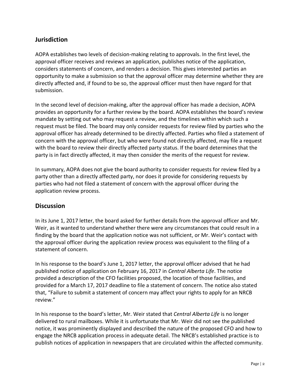### **Jurisdiction**

AOPA establishes two levels of decision-making relating to approvals. In the first level, the approval officer receives and reviews an application, publishes notice of the application, considers statements of concern, and renders a decision. This gives interested parties an opportunity to make a submission so that the approval officer may determine whether they are directly affected and, if found to be so, the approval officer must then have regard for that submission.

In the second level of decision-making, after the approval officer has made a decision, AOPA provides an opportunity for a further review by the board. AOPA establishes the board's review mandate by setting out who may request a review, and the timelines within which such a request must be filed. The board may only consider requests for review filed by parties who the approval officer has already determined to be directly affected. Parties who filed a statement of concern with the approval officer, but who were found not directly affected, may file a request with the board to review their directly affected party status. If the board determines that the party is in fact directly affected, it may then consider the merits of the request for review.

In summary, AOPA does not give the board authority to consider requests for review filed by a party other than a directly affected party, nor does it provide for considering requests by parties who had not filed a statement of concern with the approval officer during the application review process.

#### **Discussion**

In its June 1, 2017 letter, the board asked for further details from the approval officer and Mr. Weir, as it wanted to understand whether there were any circumstances that could result in a finding by the board that the application notice was not sufficient, or Mr. Weir's contact with the approval officer during the application review process was equivalent to the filing of a statement of concern.

In his response to the board's June 1, 2017 letter, the approval officer advised that he had published notice of application on February 16, 2017 in *Central Alberta Life*. The notice provided a description of the CFO facilities proposed, the location of those facilities, and provided for a March 17, 2017 deadline to file a statement of concern. The notice also stated that, "Failure to submit a statement of concern may affect your rights to apply for an NRCB review."

In his response to the board's letter, Mr. Weir stated that *Central Alberta Life* is no longer delivered to rural mailboxes. While it is unfortunate that Mr. Weir did not see the published notice, it was prominently displayed and described the nature of the proposed CFO and how to engage the NRCB application process in adequate detail. The NRCB's established practice is to publish notices of application in newspapers that are circulated within the affected community.